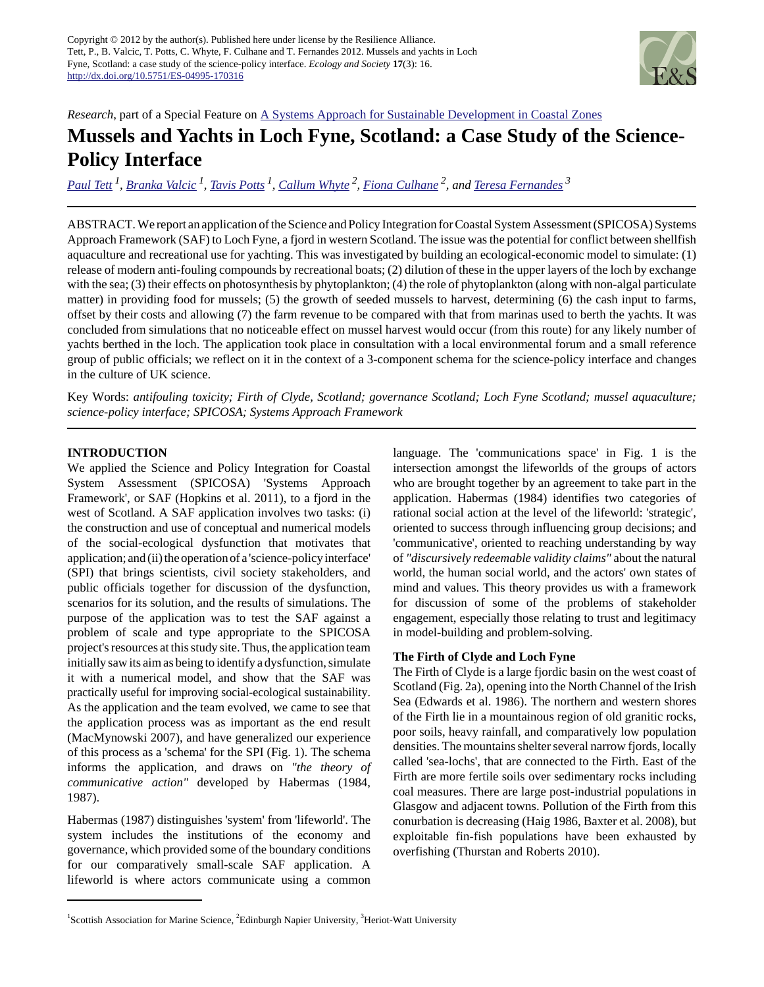

*Research*, part of a Special Feature on [A Systems Approach for Sustainable Development in Coastal Zones](http://www.ecologyandsociety.org/viewissue.php?sf=67)

# **Mussels and Yachts in Loch Fyne, Scotland: a Case Study of the Science-Policy Interface**

*[Paul Tett](mailto:paul.tett@sams.ac.uk)<sup>1</sup> , [Branka Valcic](mailto:Branka.Valcic@sams.ac.uk)<sup>1</sup> , [Tavis Potts](mailto:Tavis.Potts@sams.ac.uk)<sup>1</sup> , [Callum Whyte](mailto:C.Whyte@napier.ac.uk)<sup>2</sup> , [Fiona Culhane](mailto:F.Culhane@napier.ac.uk) 2, and [Teresa Fernandes](mailto:T.Fernandes@hw.ac.uk)<sup>3</sup>*

ABSTRACT. We report an application of the Science and Policy Integration for Coastal System Assessment (SPICOSA) Systems Approach Framework (SAF) to Loch Fyne, a fjord in western Scotland. The issue was the potential for conflict between shellfish aquaculture and recreational use for yachting. This was investigated by building an ecological-economic model to simulate: (1) release of modern anti-fouling compounds by recreational boats; (2) dilution of these in the upper layers of the loch by exchange with the sea; (3) their effects on photosynthesis by phytoplankton; (4) the role of phytoplankton (along with non-algal particulate matter) in providing food for mussels; (5) the growth of seeded mussels to harvest, determining (6) the cash input to farms, offset by their costs and allowing (7) the farm revenue to be compared with that from marinas used to berth the yachts. It was concluded from simulations that no noticeable effect on mussel harvest would occur (from this route) for any likely number of yachts berthed in the loch. The application took place in consultation with a local environmental forum and a small reference group of public officials; we reflect on it in the context of a 3-component schema for the science-policy interface and changes in the culture of UK science.

Key Words: *antifouling toxicity; Firth of Clyde, Scotland; governance Scotland; Loch Fyne Scotland; mussel aquaculture; science-policy interface; SPICOSA; Systems Approach Framework*

# **INTRODUCTION**

We applied the Science and Policy Integration for Coastal System Assessment (SPICOSA) 'Systems Approach Framework', or SAF (Hopkins et al. 2011), to a fjord in the west of Scotland. A SAF application involves two tasks: (i) the construction and use of conceptual and numerical models of the social-ecological dysfunction that motivates that application; and (ii) the operation of a 'science-policy interface' (SPI) that brings scientists, civil society stakeholders, and public officials together for discussion of the dysfunction, scenarios for its solution, and the results of simulations. The purpose of the application was to test the SAF against a problem of scale and type appropriate to the SPICOSA project's resources at this study site. Thus, the application team initially saw its aim as being to identify a dysfunction, simulate it with a numerical model, and show that the SAF was practically useful for improving social-ecological sustainability. As the application and the team evolved, we came to see that the application process was as important as the end result (MacMynowski 2007), and have generalized our experience of this process as a 'schema' for the SPI (Fig. 1). The schema informs the application, and draws on *"the theory of communicative action"* developed by Habermas (1984, 1987).

Habermas (1987) distinguishes 'system' from 'lifeworld'. The system includes the institutions of the economy and governance, which provided some of the boundary conditions for our comparatively small-scale SAF application. A lifeworld is where actors communicate using a common language. The 'communications space' in Fig. 1 is the intersection amongst the lifeworlds of the groups of actors who are brought together by an agreement to take part in the application. Habermas (1984) identifies two categories of rational social action at the level of the lifeworld: 'strategic', oriented to success through influencing group decisions; and 'communicative', oriented to reaching understanding by way of *"discursively redeemable validity claims"* about the natural world, the human social world, and the actors' own states of mind and values. This theory provides us with a framework for discussion of some of the problems of stakeholder engagement, especially those relating to trust and legitimacy in model-building and problem-solving.

# **The Firth of Clyde and Loch Fyne**

The Firth of Clyde is a large fjordic basin on the west coast of Scotland (Fig. 2a), opening into the North Channel of the Irish Sea (Edwards et al. 1986). The northern and western shores of the Firth lie in a mountainous region of old granitic rocks, poor soils, heavy rainfall, and comparatively low population densities. The mountains shelter several narrow fjords, locally called 'sea-lochs', that are connected to the Firth. East of the Firth are more fertile soils over sedimentary rocks including coal measures. There are large post-industrial populations in Glasgow and adjacent towns. Pollution of the Firth from this conurbation is decreasing (Haig 1986, Baxter et al. 2008), but exploitable fin-fish populations have been exhausted by overfishing (Thurstan and Roberts 2010).

<sup>&</sup>lt;sup>1</sup>Scottish Association for Marine Science, <sup>2</sup>Edinburgh Napier University, <sup>3</sup>Heriot-Watt University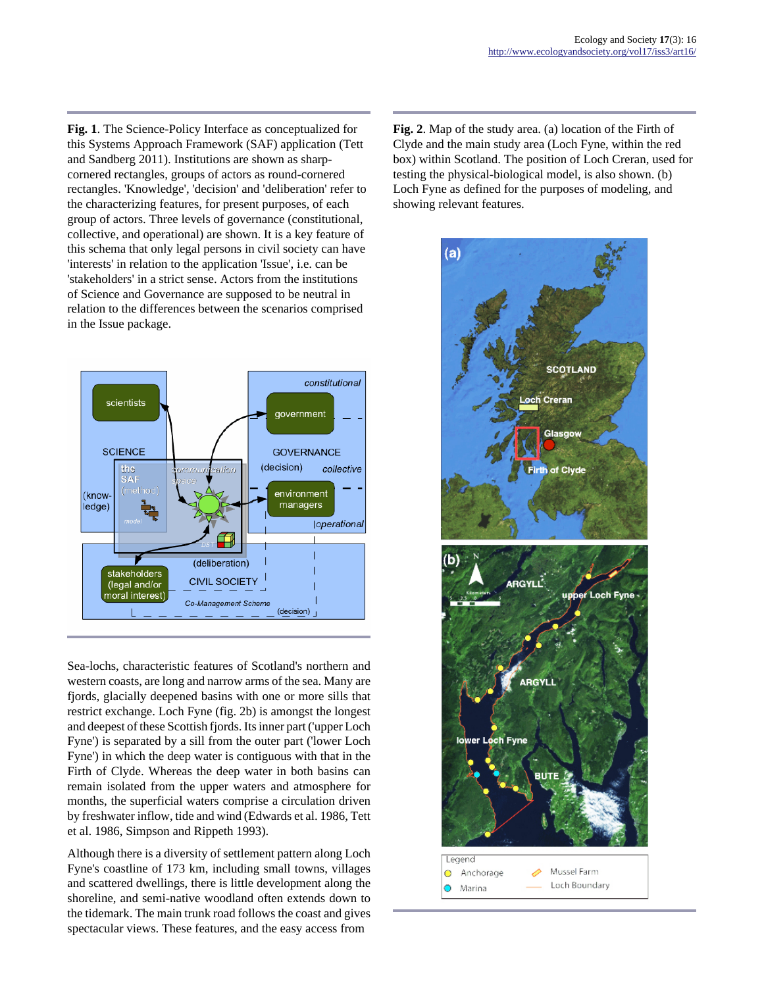**Fig. 1**. The Science-Policy Interface as conceptualized for this Systems Approach Framework (SAF) application (Tett and Sandberg 2011). Institutions are shown as sharpcornered rectangles, groups of actors as round-cornered rectangles. 'Knowledge', 'decision' and 'deliberation' refer to the characterizing features, for present purposes, of each group of actors. Three levels of governance (constitutional, collective, and operational) are shown. It is a key feature of this schema that only legal persons in civil society can have 'interests' in relation to the application 'Issue', i.e. can be 'stakeholders' in a strict sense. Actors from the institutions of Science and Governance are supposed to be neutral in relation to the differences between the scenarios comprised in the Issue package.



Sea-lochs, characteristic features of Scotland's northern and western coasts, are long and narrow arms of the sea. Many are fjords, glacially deepened basins with one or more sills that restrict exchange. Loch Fyne (fig. 2b) is amongst the longest and deepest of these Scottish fjords. Its inner part ('upper Loch Fyne') is separated by a sill from the outer part ('lower Loch Fyne') in which the deep water is contiguous with that in the Firth of Clyde. Whereas the deep water in both basins can remain isolated from the upper waters and atmosphere for months, the superficial waters comprise a circulation driven by freshwater inflow, tide and wind (Edwards et al. 1986, Tett et al. 1986, Simpson and Rippeth 1993).

Although there is a diversity of settlement pattern along Loch Fyne's coastline of 173 km, including small towns, villages and scattered dwellings, there is little development along the shoreline, and semi-native woodland often extends down to the tidemark. The main trunk road follows the coast and gives spectacular views. These features, and the easy access from

**Fig. 2**. Map of the study area. (a) location of the Firth of Clyde and the main study area (Loch Fyne, within the red box) within Scotland. The position of Loch Creran, used for testing the physical-biological model, is also shown. (b) Loch Fyne as defined for the purposes of modeling, and showing relevant features.

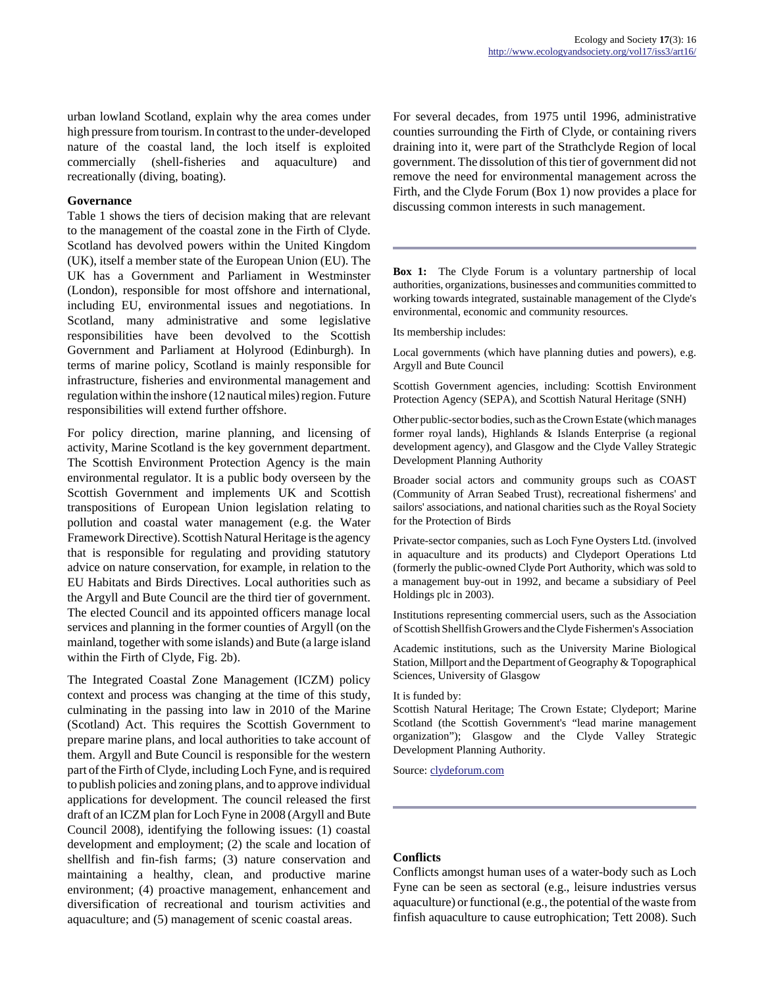urban lowland Scotland, explain why the area comes under high pressure from tourism. In contrast to the under-developed nature of the coastal land, the loch itself is exploited commercially (shell-fisheries and aquaculture) and recreationally (diving, boating).

#### **Governance**

Table 1 shows the tiers of decision making that are relevant to the management of the coastal zone in the Firth of Clyde. Scotland has devolved powers within the United Kingdom (UK), itself a member state of the European Union (EU). The UK has a Government and Parliament in Westminster (London), responsible for most offshore and international, including EU, environmental issues and negotiations. In Scotland, many administrative and some legislative responsibilities have been devolved to the Scottish Government and Parliament at Holyrood (Edinburgh). In terms of marine policy, Scotland is mainly responsible for infrastructure, fisheries and environmental management and regulation within the inshore (12 nautical miles) region. Future responsibilities will extend further offshore.

For policy direction, marine planning, and licensing of activity, Marine Scotland is the key government department. The Scottish Environment Protection Agency is the main environmental regulator. It is a public body overseen by the Scottish Government and implements UK and Scottish transpositions of European Union legislation relating to pollution and coastal water management (e.g. the Water Framework Directive). Scottish Natural Heritage is the agency that is responsible for regulating and providing statutory advice on nature conservation, for example, in relation to the EU Habitats and Birds Directives. Local authorities such as the Argyll and Bute Council are the third tier of government. The elected Council and its appointed officers manage local services and planning in the former counties of Argyll (on the mainland, together with some islands) and Bute (a large island within the Firth of Clyde, Fig. 2b).

The Integrated Coastal Zone Management (ICZM) policy context and process was changing at the time of this study, culminating in the passing into law in 2010 of the Marine (Scotland) Act. This requires the Scottish Government to prepare marine plans, and local authorities to take account of them. Argyll and Bute Council is responsible for the western part of the Firth of Clyde, including Loch Fyne, and is required to publish policies and zoning plans, and to approve individual applications for development. The council released the first draft of an ICZM plan for Loch Fyne in 2008 (Argyll and Bute Council 2008), identifying the following issues: (1) coastal development and employment; (2) the scale and location of shellfish and fin-fish farms; (3) nature conservation and maintaining a healthy, clean, and productive marine environment; (4) proactive management, enhancement and diversification of recreational and tourism activities and aquaculture; and (5) management of scenic coastal areas.

For several decades, from 1975 until 1996, administrative counties surrounding the Firth of Clyde, or containing rivers draining into it, were part of the Strathclyde Region of local government. The dissolution of this tier of government did not remove the need for environmental management across the Firth, and the Clyde Forum (Box 1) now provides a place for discussing common interests in such management.

**Box 1:** The Clyde Forum is a voluntary partnership of local authorities, organizations, businesses and communities committed to working towards integrated, sustainable management of the Clyde's environmental, economic and community resources.

Its membership includes:

Local governments (which have planning duties and powers), e.g. Argyll and Bute Council

Scottish Government agencies, including: Scottish Environment Protection Agency (SEPA), and Scottish Natural Heritage (SNH)

Other public-sector bodies, such as the Crown Estate (which manages former royal lands), Highlands & Islands Enterprise (a regional development agency), and Glasgow and the Clyde Valley Strategic Development Planning Authority

Broader social actors and community groups such as COAST (Community of Arran Seabed Trust), recreational fishermens' and sailors' associations, and national charities such as the Royal Society for the Protection of Birds

Private-sector companies, such as Loch Fyne Oysters Ltd. (involved in aquaculture and its products) and Clydeport Operations Ltd (formerly the public-owned Clyde Port Authority, which was sold to a management buy-out in 1992, and became a subsidiary of Peel Holdings plc in 2003).

Institutions representing commercial users, such as the Association of Scottish Shellfish Growers and the Clyde Fishermen's Association

Academic institutions, such as the University Marine Biological Station, Millport and the Department of Geography & Topographical Sciences, University of Glasgow

#### It is funded by:

Scottish Natural Heritage; The Crown Estate; Clydeport; Marine Scotland (the Scottish Government's "lead marine management organization"); Glasgow and the Clyde Valley Strategic Development Planning Authority.

Source: [clydeforum.com](http://clydeforum.com/) 

## **Conflicts**

Conflicts amongst human uses of a water-body such as Loch Fyne can be seen as sectoral (e.g., leisure industries versus aquaculture) or functional (e.g., the potential of the waste from finfish aquaculture to cause eutrophication; Tett 2008). Such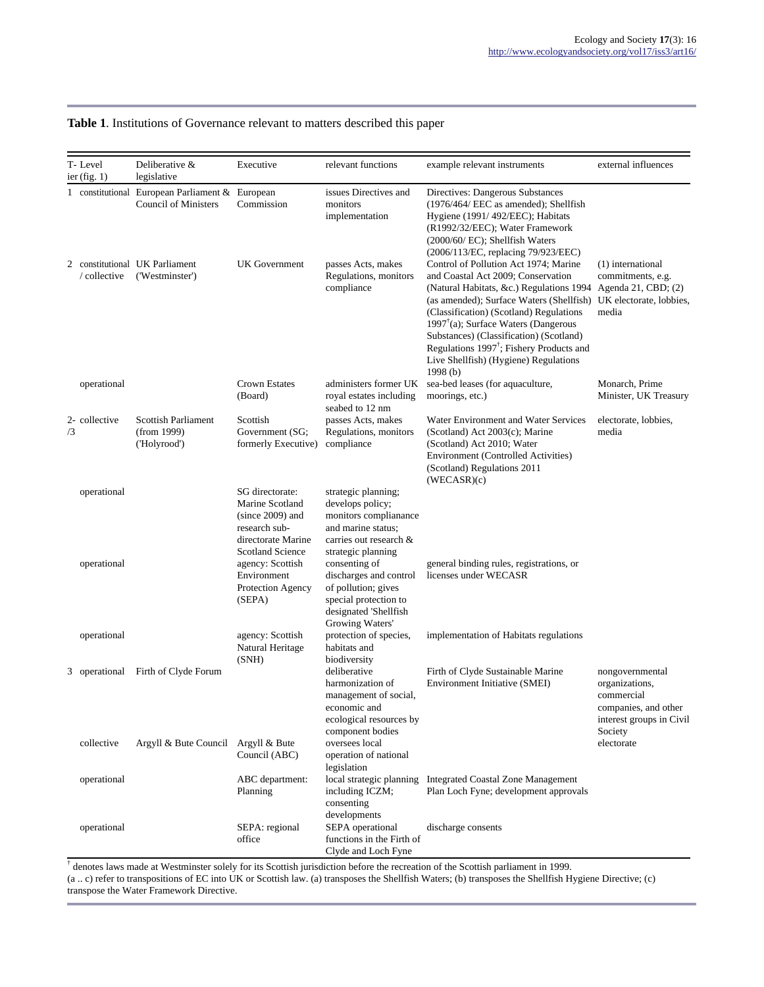# **Table 1**. Institutions of Governance relevant to matters described this paper

|    | T-Level<br>ier (fig. $1$ ) | Deliberative &<br>legislative                                                  | Executive                                                                                                                  | relevant functions                                                                                                                     | example relevant instruments                                                                                                                                                                                                                                                                                                                                                                                                                     | external influences                                                                                            |
|----|----------------------------|--------------------------------------------------------------------------------|----------------------------------------------------------------------------------------------------------------------------|----------------------------------------------------------------------------------------------------------------------------------------|--------------------------------------------------------------------------------------------------------------------------------------------------------------------------------------------------------------------------------------------------------------------------------------------------------------------------------------------------------------------------------------------------------------------------------------------------|----------------------------------------------------------------------------------------------------------------|
|    |                            | 1 constitutional European Parliament & European<br><b>Council of Ministers</b> | Commission                                                                                                                 | issues Directives and<br>monitors<br>implementation                                                                                    | Directives: Dangerous Substances<br>(1976/464/ EEC as amended); Shellfish<br>Hygiene (1991/492/EEC); Habitats<br>(R1992/32/EEC); Water Framework<br>$(2000/60/EC)$ ; Shellfish Waters<br>(2006/113/EC, replacing 79/923/EEC)                                                                                                                                                                                                                     |                                                                                                                |
|    | / collective               | 2 constitutional UK Parliament<br>('Westminster')                              | UK Government                                                                                                              | passes Acts, makes<br>Regulations, monitors<br>compliance                                                                              | Control of Pollution Act 1974; Marine<br>and Coastal Act 2009; Conservation<br>(Natural Habitats, &c.) Regulations 1994<br>(as amended); Surface Waters (Shellfish) UK electorate, lobbies,<br>(Classification) (Scotland) Regulations<br>$1997^{\dagger}$ (a); Surface Waters (Dangerous<br>Substances) (Classification) (Scotland)<br>Regulations 1997 <sup>†</sup> ; Fishery Products and<br>Live Shellfish) (Hygiene) Regulations<br>1998(b) | (1) international<br>commitments, e.g.<br>Agenda 21, CBD; (2)<br>media                                         |
|    | operational                |                                                                                | <b>Crown Estates</b><br>(Board)                                                                                            | administers former UK<br>royal estates including<br>seabed to 12 nm                                                                    | sea-bed leases (for aquaculture,<br>moorings, etc.)                                                                                                                                                                                                                                                                                                                                                                                              | Monarch, Prime<br>Minister, UK Treasury                                                                        |
| /3 | 2- collective              | <b>Scottish Parliament</b><br>(from 1999)<br>('Holyrood')                      | Scottish<br>Government (SG;<br>formerly Executive)                                                                         | passes Acts, makes<br>Regulations, monitors<br>compliance                                                                              | Water Environment and Water Services<br>(Scotland) Act 2003(c); Marine<br>(Scotland) Act 2010; Water<br>Environment (Controlled Activities)<br>(Scotland) Regulations 2011<br>(WECASR)(c)                                                                                                                                                                                                                                                        | electorate, lobbies,<br>media                                                                                  |
|    | operational                |                                                                                | SG directorate:<br>Marine Scotland<br>$(since 2009)$ and<br>research sub-<br>directorate Marine<br><b>Scotland Science</b> | strategic planning;<br>develops policy;<br>monitors complianance<br>and marine status;<br>carries out research &<br>strategic planning |                                                                                                                                                                                                                                                                                                                                                                                                                                                  |                                                                                                                |
|    | operational                |                                                                                | agency: Scottish<br>Environment<br>Protection Agency<br>(SEPA)                                                             | consenting of<br>discharges and control<br>of pollution; gives<br>special protection to<br>designated 'Shellfish<br>Growing Waters'    | general binding rules, registrations, or<br>licenses under WECASR                                                                                                                                                                                                                                                                                                                                                                                |                                                                                                                |
|    | operational                |                                                                                | agency: Scottish<br>Natural Heritage<br>(SNH)                                                                              | protection of species,<br>habitats and<br>biodiversity                                                                                 | implementation of Habitats regulations                                                                                                                                                                                                                                                                                                                                                                                                           |                                                                                                                |
|    | 3 operational              | Firth of Clyde Forum                                                           |                                                                                                                            | deliberative<br>harmonization of<br>management of social,<br>economic and<br>ecological resources by<br>component bodies               | Firth of Clyde Sustainable Marine<br>Environment Initiative (SMEI)                                                                                                                                                                                                                                                                                                                                                                               | nongovernmental<br>organizations,<br>commercial<br>companies, and other<br>interest groups in Civil<br>Society |
|    | collective                 | Argyll & Bute Council Argyll & Bute                                            | Council (ABC)                                                                                                              | oversees local<br>operation of national<br>legislation                                                                                 |                                                                                                                                                                                                                                                                                                                                                                                                                                                  | electorate                                                                                                     |
|    | operational                |                                                                                | ABC department:<br>Planning                                                                                                | local strategic planning<br>including ICZM;<br>consenting<br>developments                                                              | <b>Integrated Coastal Zone Management</b><br>Plan Loch Fyne; development approvals                                                                                                                                                                                                                                                                                                                                                               |                                                                                                                |
|    | operational                |                                                                                | SEPA: regional<br>office                                                                                                   | SEPA operational<br>functions in the Firth of<br>Clyde and Loch Fyne                                                                   | discharge consents                                                                                                                                                                                                                                                                                                                                                                                                                               |                                                                                                                |

† denotes laws made at Westminster solely for its Scottish jurisdiction before the recreation of the Scottish parliament in 1999. (a .. c) refer to transpositions of EC into UK or Scottish law. (a) transposes the Shellfish Waters; (b) transposes the Shellfish Hygiene Directive; (c) transpose the Water Framework Directive.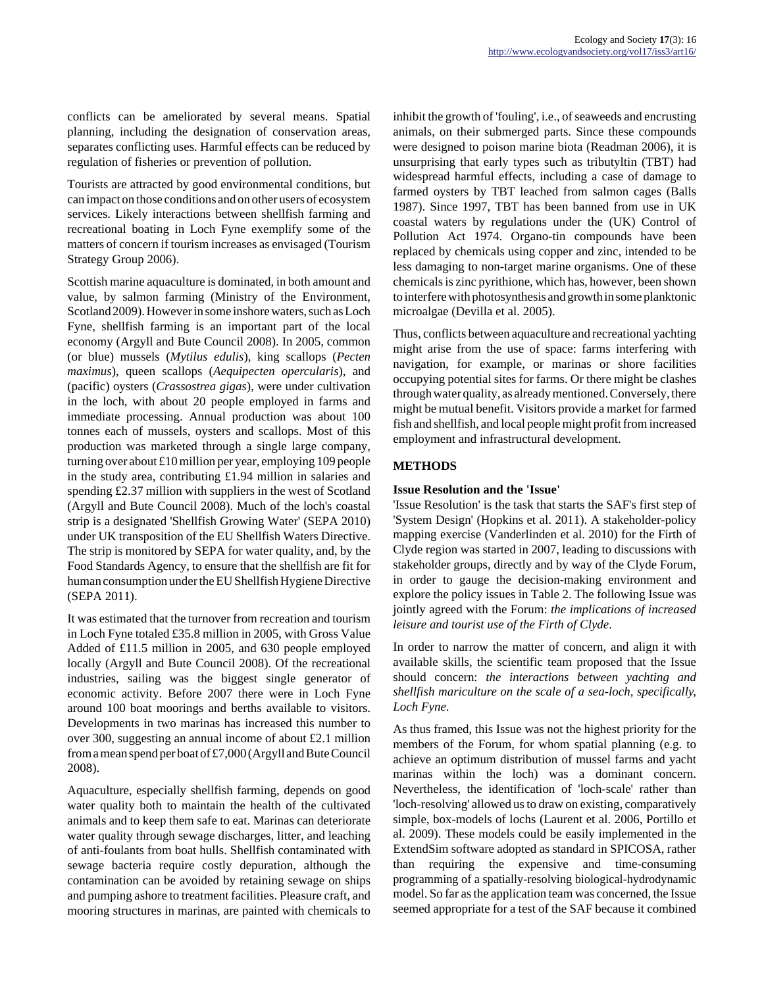conflicts can be ameliorated by several means. Spatial planning, including the designation of conservation areas, separates conflicting uses. Harmful effects can be reduced by regulation of fisheries or prevention of pollution.

Tourists are attracted by good environmental conditions, but can impact on those conditions and on other users of ecosystem services. Likely interactions between shellfish farming and recreational boating in Loch Fyne exemplify some of the matters of concern if tourism increases as envisaged (Tourism Strategy Group 2006).

Scottish marine aquaculture is dominated, in both amount and value, by salmon farming (Ministry of the Environment, Scotland 2009). However in some inshore waters, such as Loch Fyne, shellfish farming is an important part of the local economy (Argyll and Bute Council 2008). In 2005, common (or blue) mussels (*Mytilus edulis*), king scallops (*Pecten maximus*), queen scallops (*Aequipecten opercularis*), and (pacific) oysters (*Crassostrea gigas*), were under cultivation in the loch, with about 20 people employed in farms and immediate processing. Annual production was about 100 tonnes each of mussels, oysters and scallops. Most of this production was marketed through a single large company, turning over about £10 million per year, employing 109 people in the study area, contributing £1.94 million in salaries and spending £2.37 million with suppliers in the west of Scotland (Argyll and Bute Council 2008). Much of the loch's coastal strip is a designated 'Shellfish Growing Water' (SEPA 2010) under UK transposition of the EU Shellfish Waters Directive. The strip is monitored by SEPA for water quality, and, by the Food Standards Agency, to ensure that the shellfish are fit for human consumption under the EU Shellfish Hygiene Directive (SEPA 2011).

It was estimated that the turnover from recreation and tourism in Loch Fyne totaled £35.8 million in 2005, with Gross Value Added of £11.5 million in 2005, and 630 people employed locally (Argyll and Bute Council 2008). Of the recreational industries, sailing was the biggest single generator of economic activity. Before 2007 there were in Loch Fyne around 100 boat moorings and berths available to visitors. Developments in two marinas has increased this number to over 300, suggesting an annual income of about £2.1 million from a mean spend per boat of £7,000 (Argyll and Bute Council 2008).

Aquaculture, especially shellfish farming, depends on good water quality both to maintain the health of the cultivated animals and to keep them safe to eat. Marinas can deteriorate water quality through sewage discharges, litter, and leaching of anti-foulants from boat hulls. Shellfish contaminated with sewage bacteria require costly depuration, although the contamination can be avoided by retaining sewage on ships and pumping ashore to treatment facilities. Pleasure craft, and mooring structures in marinas, are painted with chemicals to inhibit the growth of 'fouling', i.e., of seaweeds and encrusting animals, on their submerged parts. Since these compounds were designed to poison marine biota (Readman 2006), it is unsurprising that early types such as tributyltin (TBT) had widespread harmful effects, including a case of damage to farmed oysters by TBT leached from salmon cages (Balls 1987). Since 1997, TBT has been banned from use in UK coastal waters by regulations under the (UK) Control of Pollution Act 1974. Organo-tin compounds have been replaced by chemicals using copper and zinc, intended to be less damaging to non-target marine organisms. One of these chemicals is zinc pyrithione, which has, however, been shown to interfere with photosynthesis and growth in some planktonic microalgae (Devilla et al. 2005).

Thus, conflicts between aquaculture and recreational yachting might arise from the use of space: farms interfering with navigation, for example, or marinas or shore facilities occupying potential sites for farms. Or there might be clashes through water quality, as already mentioned. Conversely, there might be mutual benefit. Visitors provide a market for farmed fish and shellfish, and local people might profit from increased employment and infrastructural development.

# **METHODS**

## **Issue Resolution and the 'Issue'**

'Issue Resolution' is the task that starts the SAF's first step of 'System Design' (Hopkins et al. 2011). A stakeholder-policy mapping exercise (Vanderlinden et al. 2010) for the Firth of Clyde region was started in 2007, leading to discussions with stakeholder groups, directly and by way of the Clyde Forum, in order to gauge the decision-making environment and explore the policy issues in Table 2. The following Issue was jointly agreed with the Forum: *the implications of increased leisure and tourist use of the Firth of Clyde*.

In order to narrow the matter of concern, and align it with available skills, the scientific team proposed that the Issue should concern: *the interactions between yachting and shellfish mariculture on the scale of a sea-loch, specifically, Loch Fyne*.

As thus framed, this Issue was not the highest priority for the members of the Forum, for whom spatial planning (e.g. to achieve an optimum distribution of mussel farms and yacht marinas within the loch) was a dominant concern. Nevertheless, the identification of 'loch-scale' rather than 'loch-resolving' allowed us to draw on existing, comparatively simple, box-models of lochs (Laurent et al. 2006, Portillo et al. 2009). These models could be easily implemented in the ExtendSim software adopted as standard in SPICOSA, rather than requiring the expensive and time-consuming programming of a spatially-resolving biological-hydrodynamic model. So far as the application team was concerned, the Issue seemed appropriate for a test of the SAF because it combined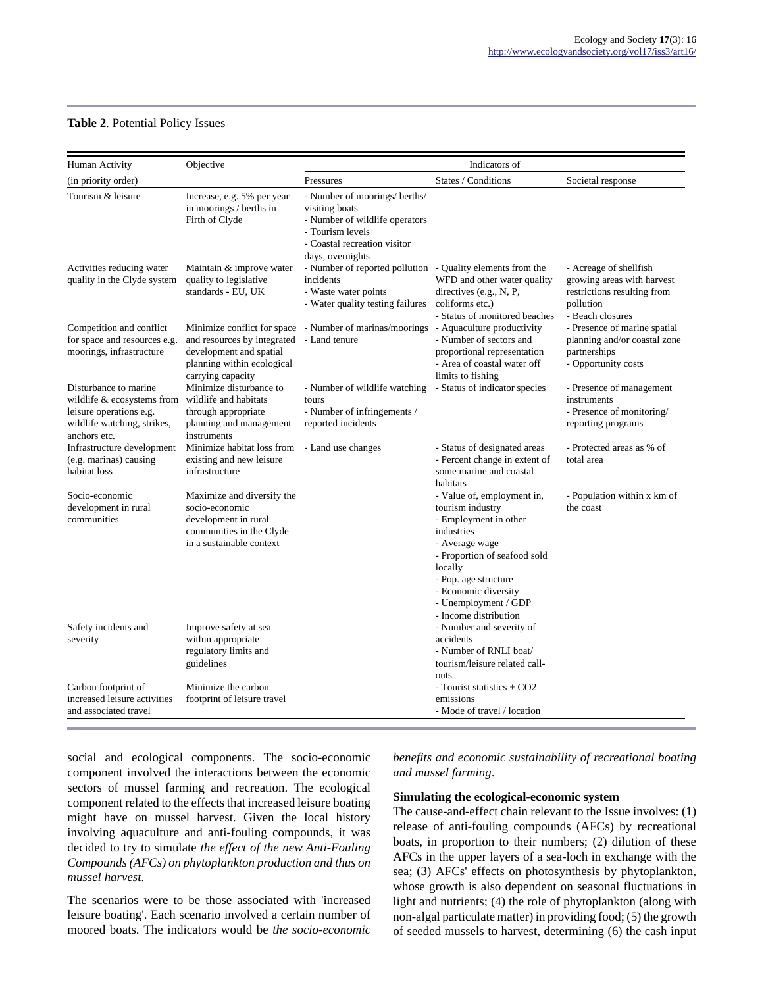#### **Table 2**. Potential Policy Issues

| Human Activity                                                                                                                | Objective                                                                                                                    |                                                                                                                                                           | Indicators of                                                                                                                                                                                                                                       |                                                                                                                      |
|-------------------------------------------------------------------------------------------------------------------------------|------------------------------------------------------------------------------------------------------------------------------|-----------------------------------------------------------------------------------------------------------------------------------------------------------|-----------------------------------------------------------------------------------------------------------------------------------------------------------------------------------------------------------------------------------------------------|----------------------------------------------------------------------------------------------------------------------|
| (in priority order)                                                                                                           |                                                                                                                              | Pressures                                                                                                                                                 | States / Conditions                                                                                                                                                                                                                                 | Societal response                                                                                                    |
| Tourism & leisure                                                                                                             | Increase, e.g. 5% per year<br>in moorings / berths in<br>Firth of Clyde                                                      | - Number of moorings/ berths/<br>visiting boats<br>- Number of wildlife operators<br>- Tourism levels<br>- Coastal recreation visitor<br>days, overnights |                                                                                                                                                                                                                                                     |                                                                                                                      |
| Activities reducing water<br>quality in the Clyde system                                                                      | Maintain & improve water<br>quality to legislative<br>standards - EU, UK                                                     | - Number of reported pollution - Quality elements from the<br>incidents<br>- Waste water points<br>- Water quality testing failures                       | WFD and other water quality<br>directives (e.g., N, P,<br>coliforms etc.)<br>- Status of monitored beaches                                                                                                                                          | - Acreage of shellfish<br>growing areas with harvest<br>restrictions resulting from<br>pollution<br>- Beach closures |
| Competition and conflict<br>for space and resources e.g.<br>moorings, infrastructure                                          | and resources by integrated<br>development and spatial<br>planning within ecological<br>carrying capacity                    | Minimize conflict for space - Number of marinas/moorings<br>- Land tenure                                                                                 | - Aquaculture productivity<br>- Number of sectors and<br>proportional representation<br>- Area of coastal water off<br>limits to fishing                                                                                                            | - Presence of marine spatial<br>planning and/or coastal zone<br>partnerships<br>- Opportunity costs                  |
| Disturbance to marine<br>wildlife & ecosystems from<br>leisure operations e.g.<br>wildlife watching, strikes,<br>anchors etc. | Minimize disturbance to<br>wildlife and habitats<br>through appropriate<br>planning and management<br>instruments            | - Number of wildlife watching<br>tours<br>- Number of infringements /<br>reported incidents                                                               | - Status of indicator species                                                                                                                                                                                                                       | - Presence of management<br>instruments<br>- Presence of monitoring/<br>reporting programs                           |
| Infrastructure development<br>(e.g. marinas) causing<br>habitat loss                                                          | Minimize habitat loss from<br>existing and new leisure<br>infrastructure                                                     | - Land use changes                                                                                                                                        | - Status of designated areas<br>- Percent change in extent of<br>some marine and coastal<br>habitats                                                                                                                                                | - Protected areas as % of<br>total area                                                                              |
| Socio-economic<br>development in rural<br>communities                                                                         | Maximize and diversify the<br>socio-economic<br>development in rural<br>communities in the Clyde<br>in a sustainable context |                                                                                                                                                           | - Value of, employment in,<br>tourism industry<br>- Employment in other<br>industries<br>- Average wage<br>- Proportion of seafood sold<br>locally<br>- Pop. age structure<br>- Economic diversity<br>- Unemployment / GDP<br>- Income distribution | - Population within x km of<br>the coast                                                                             |
| Safety incidents and<br>severity                                                                                              | Improve safety at sea<br>within appropriate<br>regulatory limits and<br>guidelines                                           |                                                                                                                                                           | - Number and severity of<br>accidents<br>- Number of RNLI boat/<br>tourism/leisure related call-<br>outs                                                                                                                                            |                                                                                                                      |
| Carbon footprint of<br>increased leisure activities<br>and associated travel                                                  | Minimize the carbon<br>footprint of leisure travel                                                                           |                                                                                                                                                           | - Tourist statistics $+$ CO2<br>emissions<br>- Mode of travel / location                                                                                                                                                                            |                                                                                                                      |

social and ecological components. The socio-economic component involved the interactions between the economic sectors of mussel farming and recreation. The ecological component related to the effects that increased leisure boating might have on mussel harvest. Given the local history involving aquaculture and anti-fouling compounds, it was decided to try to simulate *the effect of the new Anti-Fouling Compounds (AFCs) on phytoplankton production and thus on mussel harvest*.

The scenarios were to be those associated with 'increased leisure boating'. Each scenario involved a certain number of moored boats. The indicators would be *the socio-economic*

*benefits and economic sustainability of recreational boating and mussel farming*.

## **Simulating the ecological-economic system**

The cause-and-effect chain relevant to the Issue involves: (1) release of anti-fouling compounds (AFCs) by recreational boats, in proportion to their numbers; (2) dilution of these AFCs in the upper layers of a sea-loch in exchange with the sea; (3) AFCs' effects on photosynthesis by phytoplankton, whose growth is also dependent on seasonal fluctuations in light and nutrients; (4) the role of phytoplankton (along with non-algal particulate matter) in providing food; (5) the growth of seeded mussels to harvest, determining (6) the cash input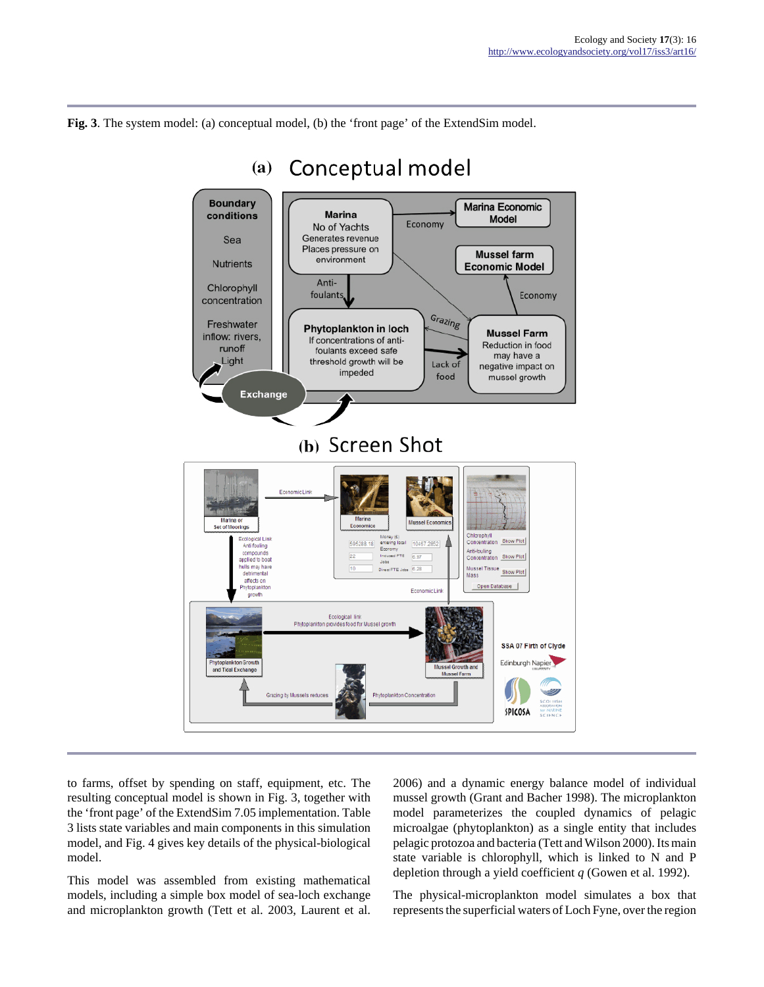**Fig. 3**. The system model: (a) conceptual model, (b) the 'front page' of the ExtendSim model.



# to farms, offset by spending on staff, equipment, etc. The resulting conceptual model is shown in Fig. 3, together with the 'front page' of the ExtendSim 7.05 implementation. Table 3 lists state variables and main components in this simulation model, and Fig. 4 gives key details of the physical-biological model.

This model was assembled from existing mathematical models, including a simple box model of sea-loch exchange and microplankton growth (Tett et al. 2003, Laurent et al. 2006) and a dynamic energy balance model of individual mussel growth (Grant and Bacher 1998). The microplankton model parameterizes the coupled dynamics of pelagic microalgae (phytoplankton) as a single entity that includes pelagic protozoa and bacteria (Tett and Wilson 2000). Its main state variable is chlorophyll, which is linked to N and P depletion through a yield coefficient *q* (Gowen et al. 1992).

The physical-microplankton model simulates a box that represents the superficial waters of Loch Fyne, over the region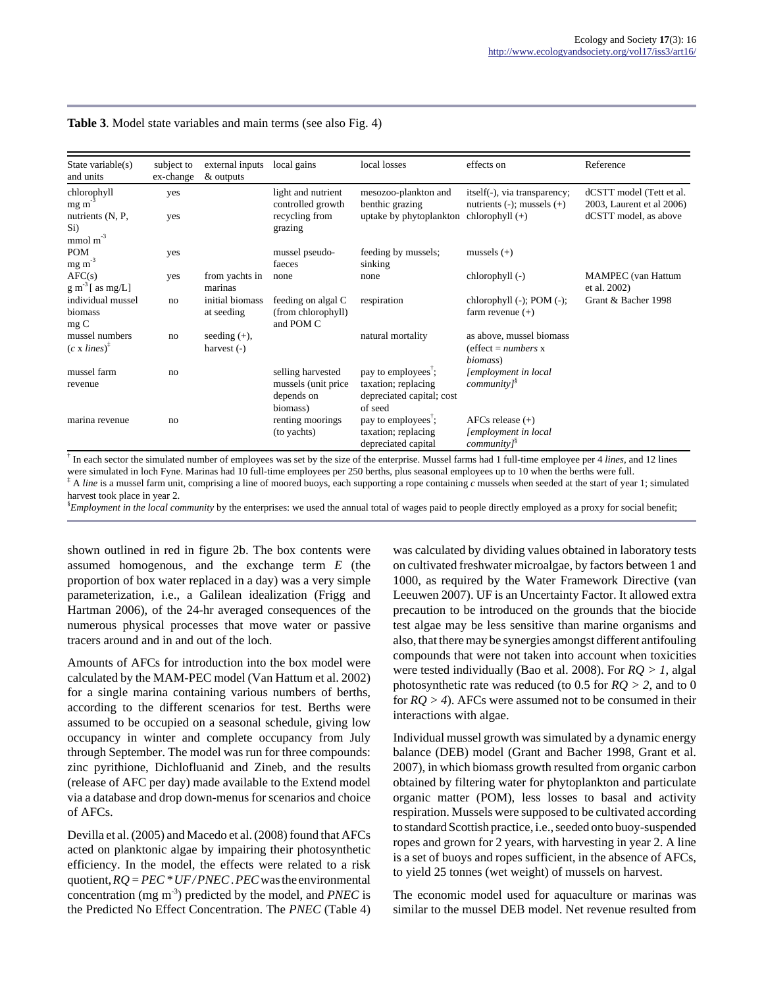|  |  |  | Table 3. Model state variables and main terms (see also Fig. 4) |
|--|--|--|-----------------------------------------------------------------|
|--|--|--|-----------------------------------------------------------------|

| State variable(s)<br>and units           | subject to<br>ex-change | external inputs<br>& outputs     | local gains                                                         | local losses                                                                                   | effects on                                                                     | Reference                                             |
|------------------------------------------|-------------------------|----------------------------------|---------------------------------------------------------------------|------------------------------------------------------------------------------------------------|--------------------------------------------------------------------------------|-------------------------------------------------------|
| chlorophyll<br>$mg \, m$                 | yes                     |                                  | light and nutrient<br>controlled growth                             | mesozoo-plankton and<br>benthic grazing                                                        | itself(-), via transparency;<br>nutrients $(-)$ ; mussels $(+)$                | dCSTT model (Tett et al.<br>2003, Laurent et al 2006) |
| nutrients (N, P,<br>Si)                  | yes                     |                                  | recycling from<br>grazing                                           | uptake by phytoplankton                                                                        | chlorophyl $(+)$                                                               | dCSTT model, as above                                 |
| $mmol m-3$<br><b>POM</b><br>$mg \, m-3$  | yes                     |                                  | mussel pseudo-<br>faeces                                            | feeding by mussels;<br>sinking                                                                 | mussels $(+)$                                                                  |                                                       |
| AFC(s)<br>$g m^{-3}$ [ as mg/L]          | yes                     | from yachts in<br>marinas        | none                                                                | none                                                                                           | chlorophyll (-)                                                                | <b>MAMPEC</b> (van Hattum<br>et al. 2002)             |
| individual mussel<br>biomass<br>mgC      | no                      | initial biomass<br>at seeding    | feeding on algal C<br>(from chlorophyll)<br>and POM C               | respiration                                                                                    | chlorophyll $(-)$ ; POM $(-)$ ;<br>farm revenue $(+)$                          | Grant & Bacher 1998                                   |
| mussel numbers<br>$(c \times lines)^{T}$ | no                      | seeding $(+)$ ,<br>harvest $(-)$ |                                                                     | natural mortality                                                                              | as above, mussel biomass<br>$\text{effect} = \textit{numbers} \ x$<br>biomass) |                                                       |
| mussel farm<br>revenue                   | no                      |                                  | selling harvested<br>mussels (unit price)<br>depends on<br>biomass) | pay to employees <sup>†</sup> ;<br>taxation; replacing<br>depreciated capital; cost<br>of seed | [employment in local]<br>$community$ <sup>s</sup>                              |                                                       |
| marina revenue                           | no                      |                                  | renting moorings<br>(to yachts)                                     | pay to employees <sup>7</sup> ;<br>taxation; replacing<br>depreciated capital                  | $AFCs$ release $(+)$<br>[employment in local]<br>$community$ <sup>8</sup>      |                                                       |

† In each sector the simulated number of employees was set by the size of the enterprise. Mussel farms had 1 full-time employee per 4 *lines*, and 12 lines were simulated in loch Fyne. Marinas had 10 full-time employees per 250 berths, plus seasonal employees up to 10 when the berths were full. ‡ A *line* is a mussel farm unit, comprising a line of moored buoys, each supporting a rope containing *c* mussels when seeded at the start of year 1; simulated harvest took place in year 2.

§ *Employment in the local community* by the enterprises: we used the annual total of wages paid to people directly employed as a proxy for social benefit;

shown outlined in red in figure 2b. The box contents were assumed homogenous, and the exchange term *E* (the proportion of box water replaced in a day) was a very simple parameterization, i.e., a Galilean idealization (Frigg and Hartman 2006), of the 24-hr averaged consequences of the numerous physical processes that move water or passive tracers around and in and out of the loch.

Amounts of AFCs for introduction into the box model were calculated by the MAM-PEC model (Van Hattum et al. 2002) for a single marina containing various numbers of berths, according to the different scenarios for test. Berths were assumed to be occupied on a seasonal schedule, giving low occupancy in winter and complete occupancy from July through September. The model was run for three compounds: zinc pyrithione, Dichlofluanid and Zineb, and the results (release of AFC per day) made available to the Extend model via a database and drop down-menus for scenarios and choice of AFCs.

Devilla et al. (2005) and Macedo et al. (2008) found that AFCs acted on planktonic algae by impairing their photosynthetic efficiency. In the model, the effects were related to a risk quotient, *RQ = PEC \* UF / PNEC* . *PEC* was the environmental concentration (mg m-3) predicted by the model, and *PNEC* is the Predicted No Effect Concentration. The *PNEC* (Table 4) was calculated by dividing values obtained in laboratory tests on cultivated freshwater microalgae, by factors between 1 and 1000, as required by the Water Framework Directive (van Leeuwen 2007). UF is an Uncertainty Factor. It allowed extra precaution to be introduced on the grounds that the biocide test algae may be less sensitive than marine organisms and also, that there may be synergies amongst different antifouling compounds that were not taken into account when toxicities were tested individually (Bao et al. 2008). For *RQ > 1*, algal photosynthetic rate was reduced (to 0.5 for *RQ > 2*, and to 0 for  $RQ > 4$ ). AFCs were assumed not to be consumed in their interactions with algae.

Individual mussel growth was simulated by a dynamic energy balance (DEB) model (Grant and Bacher 1998, Grant et al. 2007), in which biomass growth resulted from organic carbon obtained by filtering water for phytoplankton and particulate organic matter (POM), less losses to basal and activity respiration. Mussels were supposed to be cultivated according to standard Scottish practice, i.e., seeded onto buoy-suspended ropes and grown for 2 years, with harvesting in year 2. A line is a set of buoys and ropes sufficient, in the absence of AFCs, to yield 25 tonnes (wet weight) of mussels on harvest.

The economic model used for aquaculture or marinas was similar to the mussel DEB model. Net revenue resulted from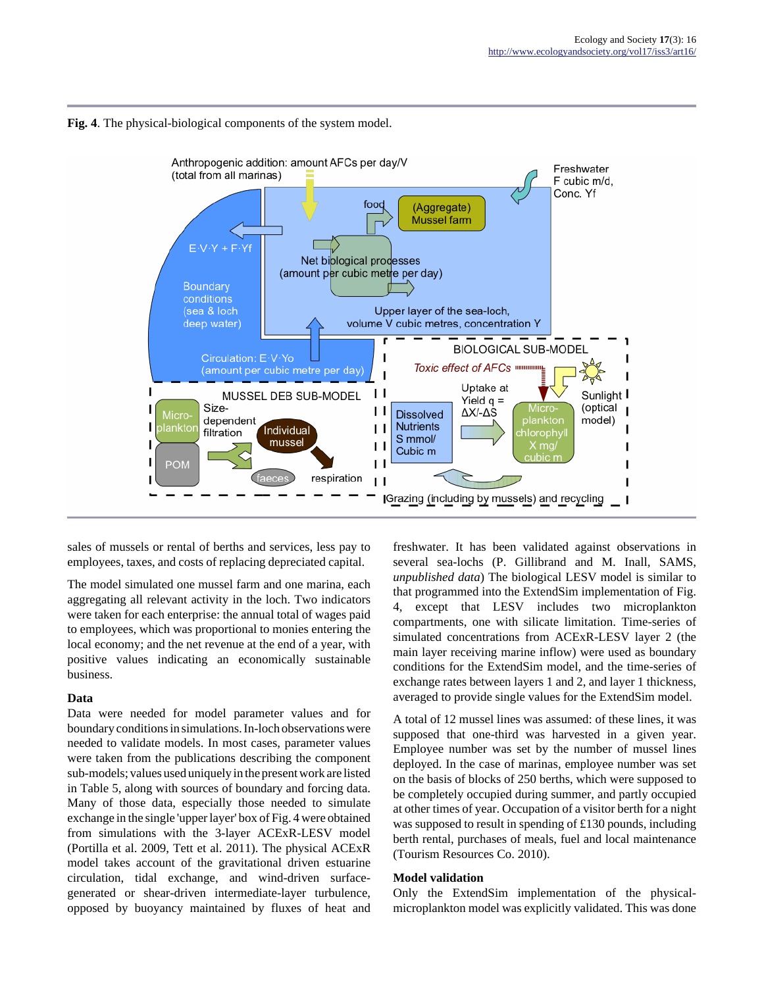



sales of mussels or rental of berths and services, less pay to employees, taxes, and costs of replacing depreciated capital.

The model simulated one mussel farm and one marina, each aggregating all relevant activity in the loch. Two indicators were taken for each enterprise: the annual total of wages paid to employees, which was proportional to monies entering the local economy; and the net revenue at the end of a year, with positive values indicating an economically sustainable business.

## **Data**

Data were needed for model parameter values and for boundary conditions in simulations. In-loch observations were needed to validate models. In most cases, parameter values were taken from the publications describing the component sub-models; values used uniquely in the present work are listed in Table 5, along with sources of boundary and forcing data. Many of those data, especially those needed to simulate exchange in the single 'upper layer' box of Fig. 4 were obtained from simulations with the 3-layer ACExR-LESV model (Portilla et al. 2009, Tett et al. 2011). The physical ACExR model takes account of the gravitational driven estuarine circulation, tidal exchange, and wind-driven surfacegenerated or shear-driven intermediate-layer turbulence, opposed by buoyancy maintained by fluxes of heat and

freshwater. It has been validated against observations in several sea-lochs (P. Gillibrand and M. Inall, SAMS, *unpublished data*) The biological LESV model is similar to that programmed into the ExtendSim implementation of Fig. 4, except that LESV includes two microplankton compartments, one with silicate limitation. Time-series of simulated concentrations from ACExR-LESV layer 2 (the main layer receiving marine inflow) were used as boundary conditions for the ExtendSim model, and the time-series of exchange rates between layers 1 and 2, and layer 1 thickness, averaged to provide single values for the ExtendSim model.

A total of 12 mussel lines was assumed: of these lines, it was supposed that one-third was harvested in a given year. Employee number was set by the number of mussel lines deployed. In the case of marinas, employee number was set on the basis of blocks of 250 berths, which were supposed to be completely occupied during summer, and partly occupied at other times of year. Occupation of a visitor berth for a night was supposed to result in spending of £130 pounds, including berth rental, purchases of meals, fuel and local maintenance (Tourism Resources Co. 2010).

### **Model validation**

Only the ExtendSim implementation of the physicalmicroplankton model was explicitly validated. This was done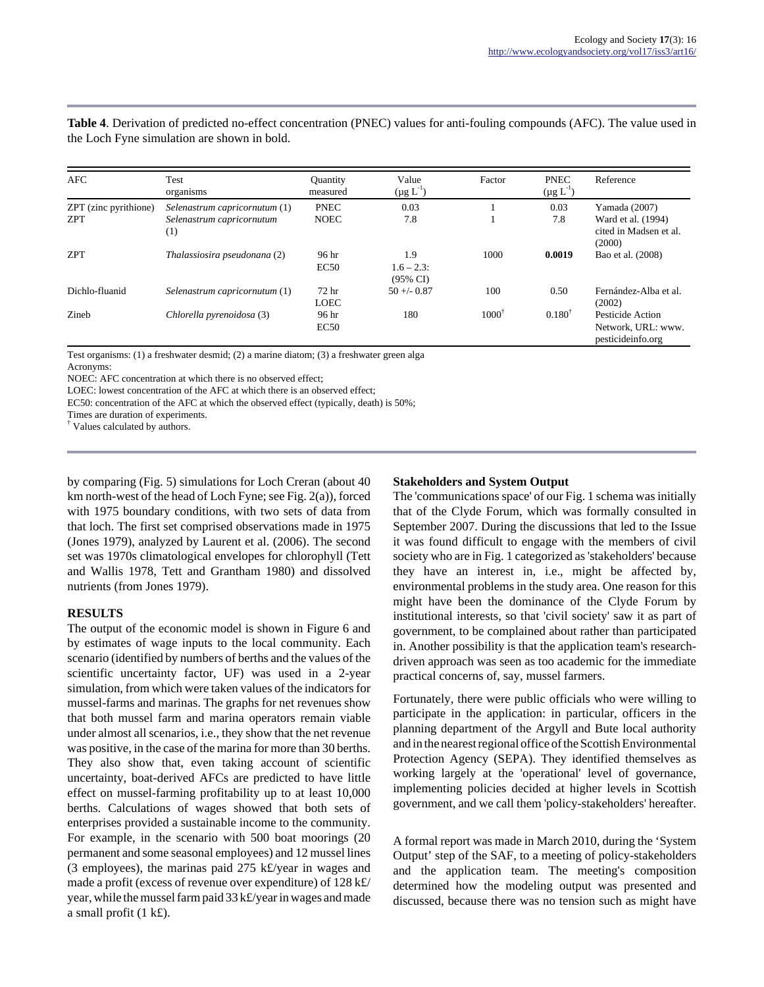| <b>AFC</b>                          | Test<br>organisms                                                 | <b>Quantity</b><br>measured     | Value<br>$(\mu g L^{-1})$                 | Factor         | <b>PNEC</b><br>$(\mu g L^{-1})$ | Reference                                                               |
|-------------------------------------|-------------------------------------------------------------------|---------------------------------|-------------------------------------------|----------------|---------------------------------|-------------------------------------------------------------------------|
| ZPT (zinc pyrithione)<br><b>ZPT</b> | Selenastrum capricornutum (1)<br>Selenastrum capricornutum<br>(1) | <b>PNEC</b><br><b>NOEC</b>      | 0.03<br>7.8                               |                | 0.03<br>7.8                     | Yamada (2007)<br>Ward et al. (1994)<br>cited in Madsen et al.<br>(2000) |
| <b>ZPT</b>                          | Thalassiosira pseudonana (2)                                      | 96 hr<br>EC50                   | 1.9<br>$1.6 - 2.3$<br>$(95\% \text{ CI})$ | 1000           | 0.0019                          | Bao et al. (2008)                                                       |
| Dichlo-fluanid                      | Selenastrum capricornutum (1)                                     | 72 <sub>hr</sub><br><b>LOEC</b> | $50 + (-0.87)$                            | 100            | 0.50                            | Fernández-Alba et al.<br>(2002)                                         |
| Zineb                               | Chlorella pyrenoidosa (3)                                         | 96 hr<br>EC50                   | 180                                       | $1000^{\circ}$ | $0.180^{\dagger}$               | Pesticide Action<br>Network, URL: www.<br>pesticideinfo.org             |

**Table 4**. Derivation of predicted no-effect concentration (PNEC) values for anti-fouling compounds (AFC). The value used in the Loch Fyne simulation are shown in bold.

Test organisms: (1) a freshwater desmid; (2) a marine diatom; (3) a freshwater green alga

Acronyms:

NOEC: AFC concentration at which there is no observed effect;

LOEC: lowest concentration of the AFC at which there is an observed effect;

EC50: concentration of the AFC at which the observed effect (typically, death) is 50%;

Times are duration of experiments.

† Values calculated by authors.

by comparing (Fig. 5) simulations for Loch Creran (about 40 km north-west of the head of Loch Fyne; see Fig. 2(a)), forced with 1975 boundary conditions, with two sets of data from that loch. The first set comprised observations made in 1975 (Jones 1979), analyzed by Laurent et al. (2006). The second set was 1970s climatological envelopes for chlorophyll (Tett and Wallis 1978, Tett and Grantham 1980) and dissolved nutrients (from Jones 1979).

## **RESULTS**

The output of the economic model is shown in Figure 6 and by estimates of wage inputs to the local community. Each scenario (identified by numbers of berths and the values of the scientific uncertainty factor, UF) was used in a 2-year simulation, from which were taken values of the indicators for mussel-farms and marinas. The graphs for net revenues show that both mussel farm and marina operators remain viable under almost all scenarios, i.e., they show that the net revenue was positive, in the case of the marina for more than 30 berths. They also show that, even taking account of scientific uncertainty, boat-derived AFCs are predicted to have little effect on mussel-farming profitability up to at least 10,000 berths. Calculations of wages showed that both sets of enterprises provided a sustainable income to the community. For example, in the scenario with 500 boat moorings (20 permanent and some seasonal employees) and 12 mussel lines (3 employees), the marinas paid 275 k£/year in wages and made a profit (excess of revenue over expenditure) of 128 k£/ year, while the mussel farm paid 33 k£/year in wages and made a small profit (1 k£).

## **Stakeholders and System Output**

The 'communications space' of our Fig. 1 schema was initially that of the Clyde Forum, which was formally consulted in September 2007. During the discussions that led to the Issue it was found difficult to engage with the members of civil society who are in Fig. 1 categorized as 'stakeholders' because they have an interest in, i.e., might be affected by, environmental problems in the study area. One reason for this might have been the dominance of the Clyde Forum by institutional interests, so that 'civil society' saw it as part of government, to be complained about rather than participated in. Another possibility is that the application team's researchdriven approach was seen as too academic for the immediate practical concerns of, say, mussel farmers.

Fortunately, there were public officials who were willing to participate in the application: in particular, officers in the planning department of the Argyll and Bute local authority and in the nearest regional office of the Scottish Environmental Protection Agency (SEPA). They identified themselves as working largely at the 'operational' level of governance, implementing policies decided at higher levels in Scottish government, and we call them 'policy-stakeholders' hereafter.

A formal report was made in March 2010, during the 'System Output' step of the SAF, to a meeting of policy-stakeholders and the application team. The meeting's composition determined how the modeling output was presented and discussed, because there was no tension such as might have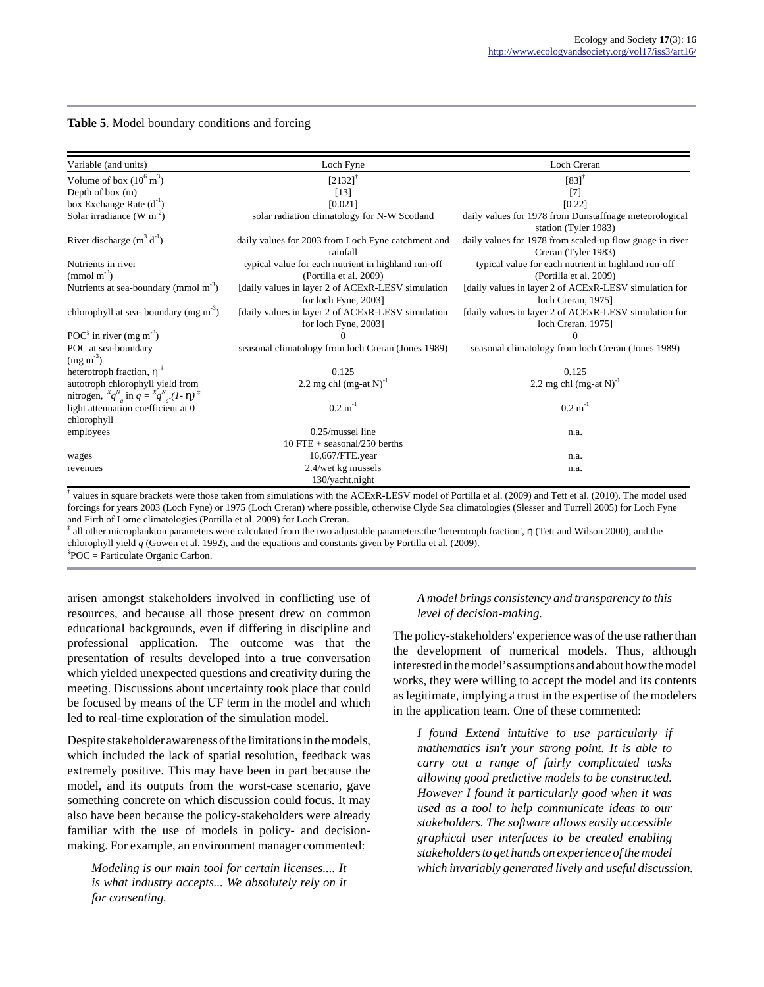#### **Table 5**. Model boundary conditions and forcing

| Variable (and units)                                                            | Loch Fyne                                                      | Loch Creran                                                                                             |  |  |
|---------------------------------------------------------------------------------|----------------------------------------------------------------|---------------------------------------------------------------------------------------------------------|--|--|
| Volume of box $(10^6 \text{ m}^3)$                                              | $\left[2132\right]$ <sup>†</sup>                               | $[83]$ <sup>†</sup>                                                                                     |  |  |
| Depth of box $(m)$                                                              |                                                                |                                                                                                         |  |  |
|                                                                                 | $[13]$                                                         | $[7]$                                                                                                   |  |  |
| box Exchange Rate $(d-1)$                                                       | [0.021]                                                        | [0.22]                                                                                                  |  |  |
| Solar irradiance (W $m^{-2}$ )                                                  | solar radiation climatology for N-W Scotland                   | daily values for 1978 from Dunstaffnage meteorological                                                  |  |  |
| River discharge $(m^3 d^1)$                                                     | daily values for 2003 from Loch Fyne catchment and<br>rainfall | station (Tyler 1983)<br>daily values for 1978 from scaled-up flow guage in river<br>Creran (Tyler 1983) |  |  |
| Nutrients in river                                                              | typical value for each nutrient in highland run-off            | typical value for each nutrient in highland run-off                                                     |  |  |
| $\pmod{m^3}$                                                                    | (Portilla et al. 2009)                                         | (Portilla et al. 2009)                                                                                  |  |  |
| Nutrients at sea-boundary (mmol m <sup>-3</sup> )                               | [daily values in layer 2 of ACExR-LESV simulation              | [daily values in layer 2 of ACExR-LESV simulation for                                                   |  |  |
|                                                                                 | for loch Fyne, 2003]                                           | loch Creran, 1975]                                                                                      |  |  |
| chlorophyll at sea- boundary (mg m <sup>-3</sup> )                              | [daily values in layer 2 of ACExR-LESV simulation              | [daily values in layer 2 of ACExR-LESV simulation for                                                   |  |  |
|                                                                                 | for loch Fyne, 2003]                                           | loch Creran, 1975]                                                                                      |  |  |
| POC <sup><math>\delta</math></sup> in river (mg m <sup>-3</sup> )               |                                                                |                                                                                                         |  |  |
| POC at sea-boundary                                                             | seasonal climatology from loch Creran (Jones 1989)             | seasonal climatology from loch Creran (Jones 1989)                                                      |  |  |
| $(mg m-3)$                                                                      |                                                                |                                                                                                         |  |  |
| heterotroph fraction, $\eta^{\ddagger}$                                         | 0.125                                                          | 0.125                                                                                                   |  |  |
| autotroph chlorophyll yield from                                                | 2.2 mg chl $(mg-at N)^{-1}$                                    | 2.2 mg chl $(mg$ -at N) <sup>-1</sup>                                                                   |  |  |
| nitrogen, $^{X}q_{a}^{N}$ in $q = {^{X}q}_{a}^{N}$ . $(1 - \eta)^{\frac{1}{4}}$ |                                                                |                                                                                                         |  |  |
| light attenuation coefficient at 0                                              | $0.2 \; \mathrm{m}^{-1}$                                       | $0.2 \text{ m}^{-1}$                                                                                    |  |  |
| chlorophyll                                                                     |                                                                |                                                                                                         |  |  |
| employees                                                                       | $0.25$ /mussel line                                            | n.a.                                                                                                    |  |  |
|                                                                                 | $10$ FTE + seasonal/250 berths                                 |                                                                                                         |  |  |
| wages                                                                           | 16,667/FTE.year                                                | n.a.                                                                                                    |  |  |
| revenues                                                                        | 2.4/wet kg mussels                                             | n.a.                                                                                                    |  |  |
|                                                                                 | 130/yacht.night                                                |                                                                                                         |  |  |

 $^{\dagger}$  values in square brackets were those taken from simulations with the ACExR-LESV model of Portilla et al. (2009) and Tett et al. (2010). The model used forcings for years 2003 (Loch Fyne) or 1975 (Loch Creran) where possible, otherwise Clyde Sea climatologies (Slesser and Turrell 2005) for Loch Fyne and Firth of Lorne climatologies (Portilla et al. 2009) for Loch Creran.

 $^{\ddagger}$  all other microplankton parameters were calculated from the two adjustable parameters:the 'heterotroph fraction', η (Tett and Wilson 2000), and the chlorophyll yield *q* (Gowen et al. 1992), and the equations and constants given by Portilla et al. (2009).

§ POC = Particulate Organic Carbon.

arisen amongst stakeholders involved in conflicting use of resources, and because all those present drew on common educational backgrounds, even if differing in discipline and professional application. The outcome was that the presentation of results developed into a true conversation which yielded unexpected questions and creativity during the meeting. Discussions about uncertainty took place that could be focused by means of the UF term in the model and which led to real-time exploration of the simulation model.

Despite stakeholder awareness of the limitations in the models, which included the lack of spatial resolution, feedback was extremely positive. This may have been in part because the model, and its outputs from the worst-case scenario, gave something concrete on which discussion could focus. It may also have been because the policy-stakeholders were already familiar with the use of models in policy- and decisionmaking. For example, an environment manager commented:

*Modeling is our main tool for certain licenses.... It is what industry accepts... We absolutely rely on it for consenting.* 

## *A model brings consistency and transparency to this level of decision-making.*

The policy-stakeholders' experience was of the use rather than the development of numerical models. Thus, although interested in the model's assumptions and about how the model works, they were willing to accept the model and its contents as legitimate, implying a trust in the expertise of the modelers in the application team. One of these commented:

*I found Extend intuitive to use particularly if mathematics isn't your strong point. It is able to carry out a range of fairly complicated tasks allowing good predictive models to be constructed. However I found it particularly good when it was used as a tool to help communicate ideas to our stakeholders. The software allows easily accessible graphical user interfaces to be created enabling stakeholders to get hands on experience of the model which invariably generated lively and useful discussion.*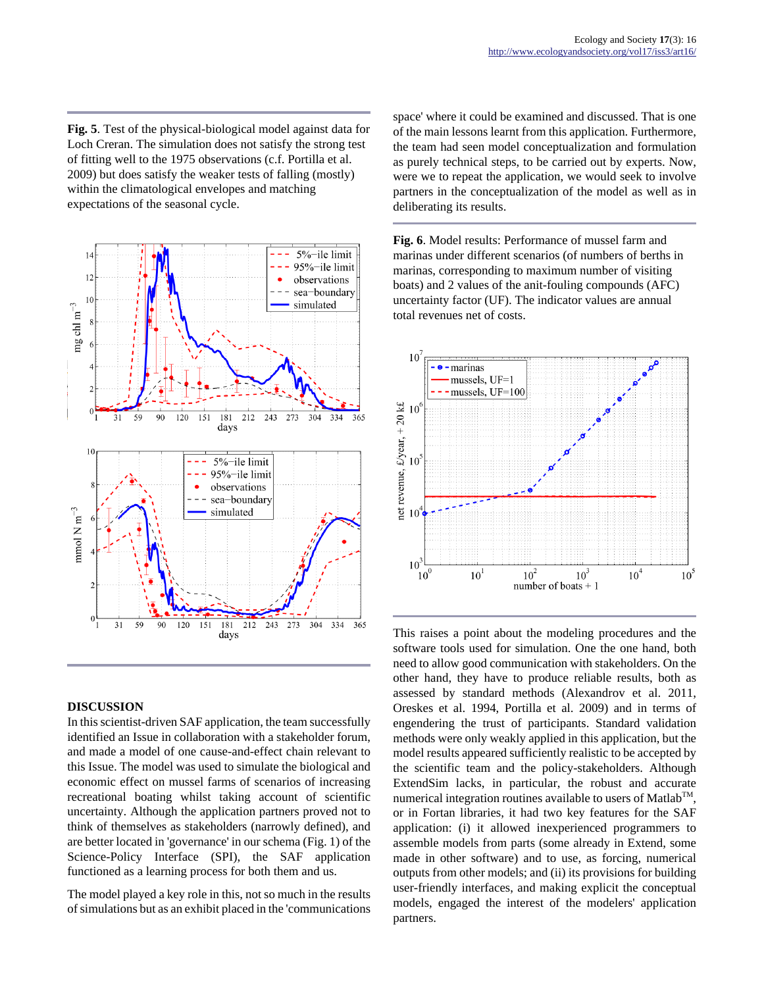**Fig. 5**. Test of the physical-biological model against data for Loch Creran. The simulation does not satisfy the strong test of fitting well to the 1975 observations (c.f. Portilla et al. 2009) but does satisfy the weaker tests of falling (mostly) within the climatological envelopes and matching expectations of the seasonal cycle.



## **DISCUSSION**

In this scientist-driven SAF application, the team successfully identified an Issue in collaboration with a stakeholder forum, and made a model of one cause-and-effect chain relevant to this Issue. The model was used to simulate the biological and economic effect on mussel farms of scenarios of increasing recreational boating whilst taking account of scientific uncertainty. Although the application partners proved not to think of themselves as stakeholders (narrowly defined), and are better located in 'governance' in our schema (Fig. 1) of the Science-Policy Interface (SPI), the SAF application functioned as a learning process for both them and us.

The model played a key role in this, not so much in the results of simulations but as an exhibit placed in the 'communications space' where it could be examined and discussed. That is one of the main lessons learnt from this application. Furthermore, the team had seen model conceptualization and formulation as purely technical steps, to be carried out by experts. Now, were we to repeat the application, we would seek to involve partners in the conceptualization of the model as well as in deliberating its results.

**Fig. 6**. Model results: Performance of mussel farm and marinas under different scenarios (of numbers of berths in marinas, corresponding to maximum number of visiting boats) and 2 values of the anit-fouling compounds (AFC) uncertainty factor (UF). The indicator values are annual total revenues net of costs.



This raises a point about the modeling procedures and the software tools used for simulation. One the one hand, both need to allow good communication with stakeholders. On the other hand, they have to produce reliable results, both as assessed by standard methods (Alexandrov et al. 2011, Oreskes et al. 1994, Portilla et al. 2009) and in terms of engendering the trust of participants. Standard validation methods were only weakly applied in this application, but the model results appeared sufficiently realistic to be accepted by the scientific team and the policy-stakeholders. Although ExtendSim lacks, in particular, the robust and accurate numerical integration routines available to users of Matlab<sup>TM</sup>, or in Fortan libraries, it had two key features for the SAF application: (i) it allowed inexperienced programmers to assemble models from parts (some already in Extend, some made in other software) and to use, as forcing, numerical outputs from other models; and (ii) its provisions for building user-friendly interfaces, and making explicit the conceptual models, engaged the interest of the modelers' application partners.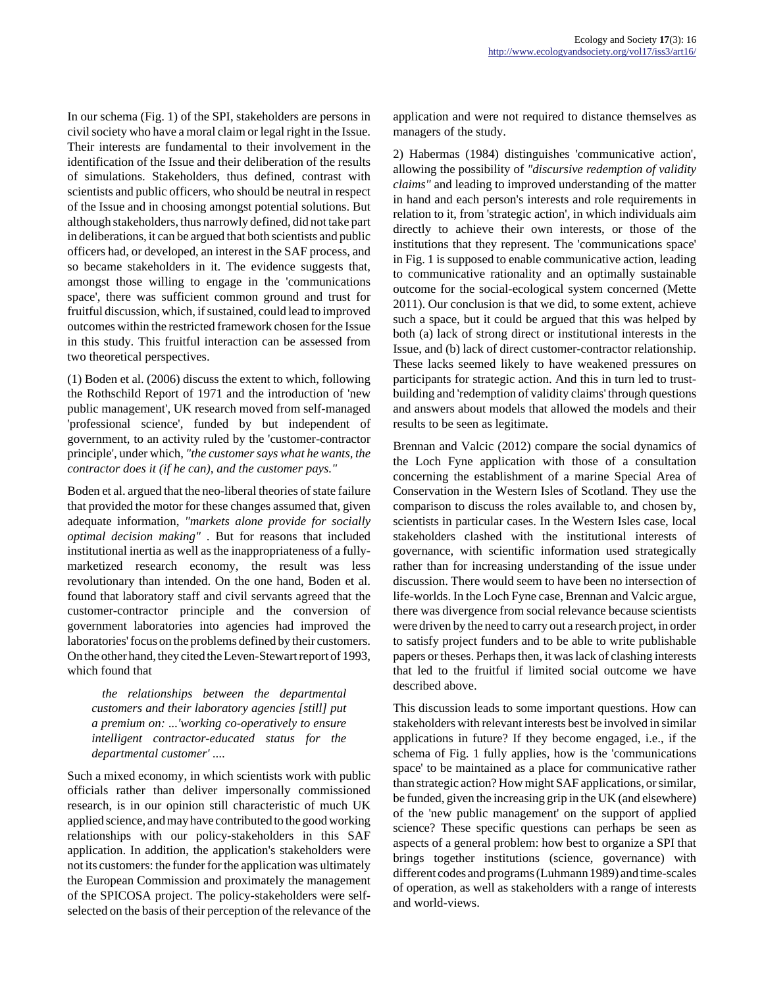In our schema (Fig. 1) of the SPI, stakeholders are persons in civil society who have a moral claim or legal right in the Issue. Their interests are fundamental to their involvement in the identification of the Issue and their deliberation of the results of simulations. Stakeholders, thus defined, contrast with scientists and public officers, who should be neutral in respect of the Issue and in choosing amongst potential solutions. But although stakeholders, thus narrowly defined, did not take part in deliberations, it can be argued that both scientists and public officers had, or developed, an interest in the SAF process, and so became stakeholders in it. The evidence suggests that, amongst those willing to engage in the 'communications space', there was sufficient common ground and trust for fruitful discussion, which, if sustained, could lead to improved outcomes within the restricted framework chosen for the Issue in this study. This fruitful interaction can be assessed from two theoretical perspectives.

(1) Boden et al. (2006) discuss the extent to which, following the Rothschild Report of 1971 and the introduction of 'new public management', UK research moved from self-managed 'professional science', funded by but independent of government, to an activity ruled by the 'customer-contractor principle', under which, *"the customer says what he wants, the contractor does it (if he can), and the customer pays."*

Boden et al. argued that the neo-liberal theories of state failure that provided the motor for these changes assumed that, given adequate information, *"markets alone provide for socially optimal decision making"* . But for reasons that included institutional inertia as well as the inappropriateness of a fullymarketized research economy, the result was less revolutionary than intended. On the one hand, Boden et al. found that laboratory staff and civil servants agreed that the customer-contractor principle and the conversion of government laboratories into agencies had improved the laboratories' focus on the problems defined by their customers. On the other hand, they cited the Leven-Stewart report of 1993, which found that

 *the relationships between the departmental customers and their laboratory agencies [still] put a premium on: ...'working co-operatively to ensure intelligent contractor-educated status for the departmental customer' ....* 

Such a mixed economy, in which scientists work with public officials rather than deliver impersonally commissioned research, is in our opinion still characteristic of much UK applied science, and may have contributed to the good working relationships with our policy-stakeholders in this SAF application. In addition, the application's stakeholders were not its customers: the funder for the application was ultimately the European Commission and proximately the management of the SPICOSA project. The policy-stakeholders were selfselected on the basis of their perception of the relevance of the application and were not required to distance themselves as managers of the study.

2) Habermas (1984) distinguishes 'communicative action', allowing the possibility of *"discursive redemption of validity claims"* and leading to improved understanding of the matter in hand and each person's interests and role requirements in relation to it, from 'strategic action', in which individuals aim directly to achieve their own interests, or those of the institutions that they represent. The 'communications space' in Fig. 1 is supposed to enable communicative action, leading to communicative rationality and an optimally sustainable outcome for the social-ecological system concerned (Mette 2011). Our conclusion is that we did, to some extent, achieve such a space, but it could be argued that this was helped by both (a) lack of strong direct or institutional interests in the Issue, and (b) lack of direct customer-contractor relationship. These lacks seemed likely to have weakened pressures on participants for strategic action. And this in turn led to trustbuilding and 'redemption of validity claims' through questions and answers about models that allowed the models and their results to be seen as legitimate.

Brennan and Valcic (2012) compare the social dynamics of the Loch Fyne application with those of a consultation concerning the establishment of a marine Special Area of Conservation in the Western Isles of Scotland. They use the comparison to discuss the roles available to, and chosen by, scientists in particular cases. In the Western Isles case, local stakeholders clashed with the institutional interests of governance, with scientific information used strategically rather than for increasing understanding of the issue under discussion. There would seem to have been no intersection of life-worlds. In the Loch Fyne case, Brennan and Valcic argue, there was divergence from social relevance because scientists were driven by the need to carry out a research project, in order to satisfy project funders and to be able to write publishable papers or theses. Perhaps then, it was lack of clashing interests that led to the fruitful if limited social outcome we have described above.

This discussion leads to some important questions. How can stakeholders with relevant interests best be involved in similar applications in future? If they become engaged, i.e., if the schema of Fig. 1 fully applies, how is the 'communications space' to be maintained as a place for communicative rather than strategic action? How might SAF applications, or similar, be funded, given the increasing grip in the UK (and elsewhere) of the 'new public management' on the support of applied science? These specific questions can perhaps be seen as aspects of a general problem: how best to organize a SPI that brings together institutions (science, governance) with different codes and programs (Luhmann 1989) and time-scales of operation, as well as stakeholders with a range of interests and world-views.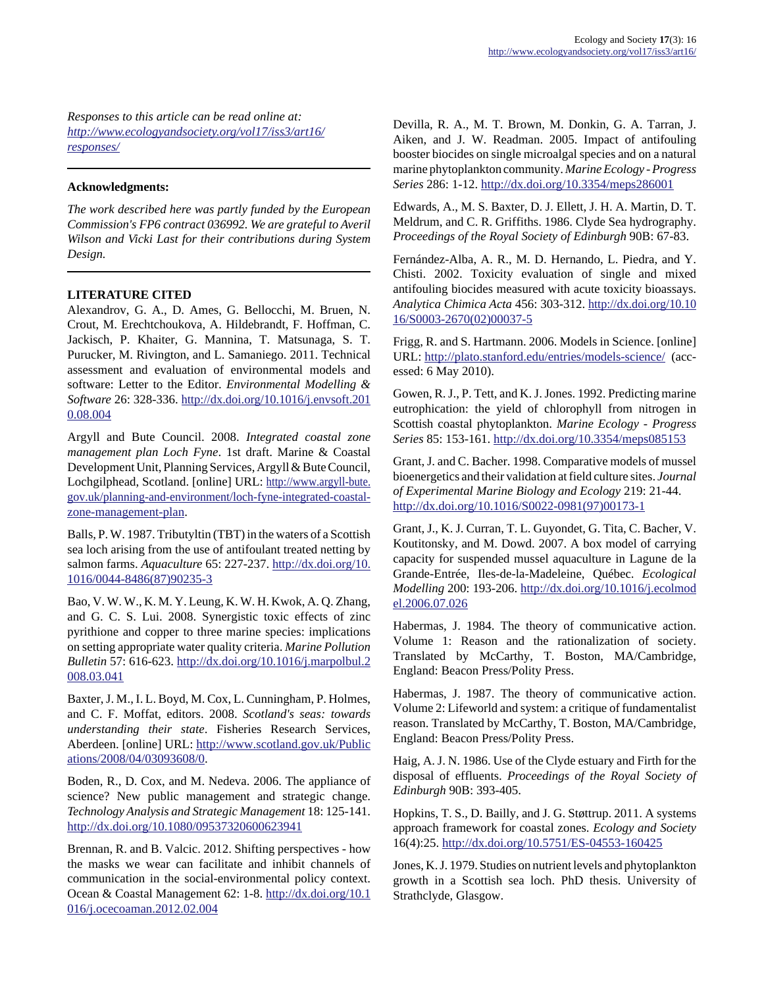*Responses to this article can be read online at: [http://www](http://www.ecologyandsociety.org/vol17/iss3/art16/responses/).ecologyandsociety.org/vol17/iss3/art16/ responses/*

#### **Acknowledgments:**

*The work described here was partly funded by the European Commission's FP6 contract 036992. We are grateful to Averil Wilson and Vicki Last for their contributions during System Design.*

#### **LITERATURE CITED**

Alexandrov, G. A., D. Ames, G. Bellocchi, M. Bruen, N. Crout, M. Erechtchoukova, A. Hildebrandt, F. Hoffman, C. Jackisch, P. Khaiter, G. Mannina, T. Matsunaga, S. T. Purucker, M. Rivington, and L. Samaniego. 2011. Technical assessment and evaluation of environmental models and software: Letter to the Editor. *Environmental Modelling & Software* 26: 328-336. [http://dx.doi.org/10.1016/j.envsoft.201](http://dx.doi.org/10.1016/j.envsoft.2010.08.004) [0.08.004](http://dx.doi.org/10.1016/j.envsoft.2010.08.004)

Argyll and Bute Council. 2008. *Integrated coastal zone management plan Loch Fyne*. 1st draft. Marine & Coastal Development Unit, Planning Services, Argyll & Bute Council, Lochgilphead, Scotland. [online] URL: [http://www.argyll-bute.](http://www.argyll-bute.gov.uk/planning-and-environment/loch-fyne-integrated-coastal-zone-management-plan) gov.uk/planning-and-environment/loch-fyne-integrated-coastal[zone-management-plan.](http://www.argyll-bute.gov.uk/planning-and-environment/loch-fyne-integrated-coastal-zone-management-plan)

Balls, P. W. 1987. Tributyltin (TBT) in the waters of a Scottish sea loch arising from the use of antifoulant treated netting by salmon farms. *Aquaculture* 65: 227-237. [http://dx.doi.org/10.](http://dx.doi.org/10.1016/0044-8486(87)90235-3) [1016/0044-8486\(87\)90235-3](http://dx.doi.org/10.1016/0044-8486(87)90235-3)

Bao, V. W. W., K. M. Y. Leung, K. W. H. Kwok, A. Q. Zhang, and G. C. S. Lui. 2008. Synergistic toxic effects of zinc pyrithione and copper to three marine species: implications on setting appropriate water quality criteria. *Marine Pollution Bulletin* 57: 616-623. [http://dx.doi.org/10.1016/j.marpolbul.2](http://dx.doi.org/10.1016/j.marpolbul.2008.03.041) [008.03.041](http://dx.doi.org/10.1016/j.marpolbul.2008.03.041)

Baxter, J. M., I. L. Boyd, M. Cox, L. Cunningham, P. Holmes, and C. F. Moffat, editors. 2008. *Scotland's seas: towards understanding their state*. Fisheries Research Services, Aberdeen. [online] URL: [http://www.scotland.gov.uk/Public](http://www.scotland.gov.uk/Publications/2008/04/03093608/0) [ations/2008/04/03093608/0](http://www.scotland.gov.uk/Publications/2008/04/03093608/0).

Boden, R., D. Cox, and M. Nedeva. 2006. The appliance of science? New public management and strategic change. *Technology Analysis and Strategic Management* 18: 125-141. <http://dx.doi.org/10.1080/09537320600623941>

Brennan, R. and B. Valcic. 2012. Shifting perspectives - how the masks we wear can facilitate and inhibit channels of communication in the social-environmental policy context. Ocean & Coastal Management 62: 1-8. [http://dx.doi.org/10.1](http://dx.doi.org/10.1016/j.ocecoaman.2012.02.004) [016/j.ocecoaman.2012.02.004](http://dx.doi.org/10.1016/j.ocecoaman.2012.02.004)

Devilla, R. A., M. T. Brown, M. Donkin, G. A. Tarran, J. Aiken, and J. W. Readman. 2005. Impact of antifouling booster biocides on single microalgal species and on a natural marine phytoplankton community. *Marine Ecology - Progress Series* 286: 1-12. <http://dx.doi.org/10.3354/meps286001>

Edwards, A., M. S. Baxter, D. J. Ellett, J. H. A. Martin, D. T. Meldrum, and C. R. Griffiths. 1986. Clyde Sea hydrography. *Proceedings of the Royal Society of Edinburgh* 90B: 67-83.

Fernández-Alba, A. R., M. D. Hernando, L. Piedra, and Y. Chisti. 2002. Toxicity evaluation of single and mixed antifouling biocides measured with acute toxicity bioassays. *Analytica Chimica Acta* 456: 303-312. [http://dx.doi.org/10.10](http://dx.doi.org/10.1016/S0003-2670(02)00037-5) [16/S0003-2670\(02\)00037-5](http://dx.doi.org/10.1016/S0003-2670(02)00037-5)

Frigg, R. and S. Hartmann. 2006. Models in Science. [online] URL:<http://plato.stanford.edu/entries/models-science/> (accessed: 6 May 2010).

Gowen, R. J., P. Tett, and K. J. Jones. 1992. Predicting marine eutrophication: the yield of chlorophyll from nitrogen in Scottish coastal phytoplankton. *Marine Ecology - Progress Series* 85: 153-161. <http://dx.doi.org/10.3354/meps085153>

Grant, J. and C. Bacher. 1998. Comparative models of mussel bioenergetics and their validation at field culture sites. *Journal of Experimental Marine Biology and Ecology* 219: 21-44. [http://dx.doi.org/10.1016/S0022-0981\(97\)00173-1](http://dx.doi.org/10.1016/S0022-0981(97)00173-1)

Grant, J., K. J. Curran, T. L. Guyondet, G. Tita, C. Bacher, V. Koutitonsky, and M. Dowd. 2007. A box model of carrying capacity for suspended mussel aquaculture in Lagune de la Grande-Entrée, Iles-de-la-Madeleine, Québec. *Ecological Modelling* 200: 193-206. [http://dx.doi.org/10.1016/j.ecolmod](http://dx.doi.org/10.1016/j.ecolmodel.2006.07.026) [el.2006.07.026](http://dx.doi.org/10.1016/j.ecolmodel.2006.07.026)

Habermas, J. 1984. The theory of communicative action. Volume 1: Reason and the rationalization of society. Translated by McCarthy, T. Boston, MA/Cambridge, England: Beacon Press/Polity Press.

Habermas, J. 1987. The theory of communicative action. Volume 2: Lifeworld and system: a critique of fundamentalist reason. Translated by McCarthy, T. Boston, MA/Cambridge, England: Beacon Press/Polity Press.

Haig, A. J. N. 1986. Use of the Clyde estuary and Firth for the disposal of effluents. *Proceedings of the Royal Society of Edinburgh* 90B: 393-405.

Hopkins, T. S., D. Bailly, and J. G. Støttrup. 2011. A systems approach framework for coastal zones. *Ecology and Society* 16(4):25.<http://dx.doi.org/10.5751/ES-04553-160425>

Jones, K. J. 1979. Studies on nutrient levels and phytoplankton growth in a Scottish sea loch. PhD thesis. University of Strathclyde, Glasgow.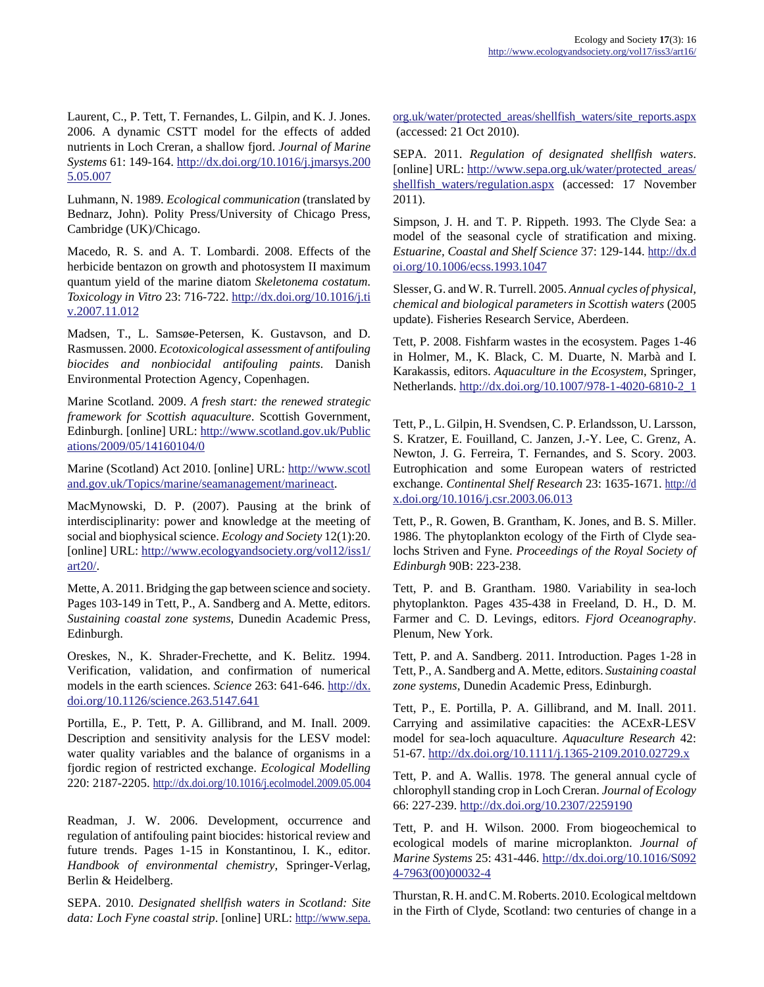Laurent, C., P. Tett, T. Fernandes, L. Gilpin, and K. J. Jones. 2006. A dynamic CSTT model for the effects of added nutrients in Loch Creran, a shallow fjord. *Journal of Marine Systems* 61: 149-164. [http://dx.doi.org/10.1016/j.jmarsys.200](http://dx.doi.org/10.1016/j.jmarsys.2005.05.007) [5.05.007](http://dx.doi.org/10.1016/j.jmarsys.2005.05.007)

Luhmann, N. 1989. *Ecological communication* (translated by Bednarz, John). Polity Press/University of Chicago Press, Cambridge (UK)/Chicago.

Macedo, R. S. and A. T. Lombardi. 2008. Effects of the herbicide bentazon on growth and photosystem II maximum quantum yield of the marine diatom *Skeletonema costatum*. *Toxicology in Vitro* 23: 716-722. [http://dx.doi.org/10.1016/j.ti](http://dx.doi.org/10.1016/j.tiv.2007.11.012) [v.2007.11.012](http://dx.doi.org/10.1016/j.tiv.2007.11.012) 

Madsen, T., L. Samsøe-Petersen, K. Gustavson, and D. Rasmussen. 2000. *Ecotoxicological assessment of antifouling biocides and nonbiocidal antifouling paints*. Danish Environmental Protection Agency, Copenhagen.

Marine Scotland. 2009. *A fresh start: the renewed strategic framework for Scottish aquaculture*. Scottish Government, Edinburgh. [online] URL: [http://www.scotland.gov.uk/Public](http://www.scotland.gov.uk/Publications/2009/05/14160104/0) [ations/2009/05/14160104/0](http://www.scotland.gov.uk/Publications/2009/05/14160104/0)

Marine (Scotland) Act 2010. [online] URL: [http://www.scotl](http://www.scotland.gov.uk/Topics/marine/seamanagement/marineact) [and.gov.uk/Topics/marine/seamanagement/marineact.](http://www.scotland.gov.uk/Topics/marine/seamanagement/marineact)

MacMynowski, D. P. (2007). Pausing at the brink of interdisciplinarity: power and knowledge at the meeting of social and biophysical science. *Ecology and Society* 12(1):20. [online] URL: [http://www.ecologyandsociety.org/vol12/iss1/](http://www.ecologyandsociety.org/vol12/iss1/art20/) [art20/](http://www.ecologyandsociety.org/vol12/iss1/art20/).

Mette, A. 2011. Bridging the gap between science and society. Pages 103-149 in Tett, P., A. Sandberg and A. Mette, editors. *Sustaining coastal zone systems*, Dunedin Academic Press, Edinburgh.

Oreskes, N., K. Shrader-Frechette, and K. Belitz. 1994. Verification, validation, and confirmation of numerical models in the earth sciences. *Science* 263: 641-646. [http://dx.](http://dx.doi.org/10.1126/science.263.5147.641) [doi.org/10.1126/science.263.5147.641](http://dx.doi.org/10.1126/science.263.5147.641) 

Portilla, E., P. Tett, P. A. Gillibrand, and M. Inall. 2009. Description and sensitivity analysis for the LESV model: water quality variables and the balance of organisms in a fjordic region of restricted exchange. *Ecological Modelling* 220: 2187-2205. <http://dx.doi.org/10.1016/j.ecolmodel.2009.05.004>

Readman, J. W. 2006. Development, occurrence and regulation of antifouling paint biocides: historical review and future trends. Pages 1-15 in Konstantinou, I. K., editor. *Handbook of environmental chemistry*, Springer-Verlag, Berlin & Heidelberg.

SEPA. 2010. *Designated shellfish waters in Scotland: Site data: Loch Fyne coastal strip*. [online] URL: http://www.sepa. [org.uk/water/protected\\_areas/shellfish\\_waters/site\\_reports.aspx](http://www.sepa.org.uk/water/protected_areas/shellfish_waters/site_reports.aspx) (accessed: 21 Oct 2010).

SEPA. 2011. *Regulation of designated shellfish waters*. [online] URL: [http://www.sepa.org.uk/water/protected\\_areas/](http://www.sepa.org.uk/water/protected_areas/shellfish_waters/regulation.aspx) shellfish waters/regulation.aspx (accessed: 17 November 2011).

Simpson, J. H. and T. P. Rippeth. 1993. The Clyde Sea: a model of the seasonal cycle of stratification and mixing. *Estuarine, Coastal and Shelf Science* 37: 129-144. [http://dx.d](http://dx.doi.org/10.1006/ecss.1993.1047) [oi.org/10.1006/ecss.1993.1047](http://dx.doi.org/10.1006/ecss.1993.1047)

Slesser, G. and W. R. Turrell. 2005. *Annual cycles of physical, chemical and biological parameters in Scottish waters* (2005 update). Fisheries Research Service, Aberdeen.

Tett, P. 2008. Fishfarm wastes in the ecosystem. Pages 1-46 in Holmer, M., K. Black, C. M. Duarte, N. Marbà and I. Karakassis, editors. *Aquaculture in the Ecosystem*, Springer, Netherlands. [http://dx.doi.org/10.1007/978-1-4020-6810-2\\_1](http://dx.doi.org/10.1007/978-1-4020-6810-2_1)

Tett, P., L. Gilpin, H. Svendsen, C. P. Erlandsson, U. Larsson, S. Kratzer, E. Fouilland, C. Janzen, J.-Y. Lee, C. Grenz, A. Newton, J. G. Ferreira, T. Fernandes, and S. Scory. 2003. Eutrophication and some European waters of restricted exchange. *Continental Shelf Research* 23: 1635-1671. [http://d](http://dx.doi.org/10.1016/j.csr.2003.06.013) [x.doi.org/10.1016/j.csr.2003.06.013](http://dx.doi.org/10.1016/j.csr.2003.06.013) 

Tett, P., R. Gowen, B. Grantham, K. Jones, and B. S. Miller. 1986. The phytoplankton ecology of the Firth of Clyde sealochs Striven and Fyne. *Proceedings of the Royal Society of Edinburgh* 90B: 223-238.

Tett, P. and B. Grantham. 1980. Variability in sea-loch phytoplankton. Pages 435-438 in Freeland, D. H., D. M. Farmer and C. D. Levings, editors. *Fjord Oceanography*. Plenum, New York.

Tett, P. and A. Sandberg. 2011. Introduction. Pages 1-28 in Tett, P., A. Sandberg and A. Mette, editors. *Sustaining coastal zone systems*, Dunedin Academic Press, Edinburgh.

Tett, P., E. Portilla, P. A. Gillibrand, and M. Inall. 2011. Carrying and assimilative capacities: the ACExR-LESV model for sea-loch aquaculture. *Aquaculture Research* 42: 51-67.<http://dx.doi.org/10.1111/j.1365-2109.2010.02729.x>

Tett, P. and A. Wallis. 1978. The general annual cycle of chlorophyll standing crop in Loch Creran. *Journal of Ecology* 66: 227-239. <http://dx.doi.org/10.2307/2259190>

Tett, P. and H. Wilson. 2000. From biogeochemical to ecological models of marine microplankton. *Journal of Marine Systems* 25: 431-446. [http://dx.doi.org/10.1016/S092](http://dx.doi.org/10.1016/S0924-7963(00)00032-4) [4-7963\(00\)00032-4](http://dx.doi.org/10.1016/S0924-7963(00)00032-4)

Thurstan, R. H. and C. M. Roberts. 2010. Ecological meltdown [in the Firth of Clyde, Scotland: two centuries of change in a](http://www.sepa.org.uk/water/protected_areas/shellfish_waters/site_reports.aspx)